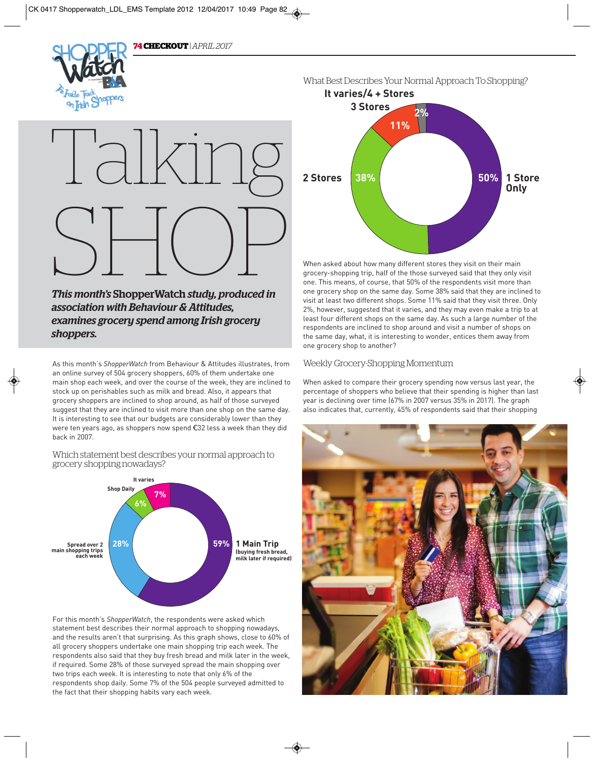

# SHOP

*This month's* ShopperWatch *study, produced in association with Behaviour & Attitudes, examines grocery spend among Irish grocery shoppers.*  **This month's ShopperWatch study, produced in<br>association with Behaviour & Attitudes,<br>examines grocery spend among Irish grocery<br>shoppers.**<br>As this month's ShopperWatch from Behaviour & Attitudes illustrates, from

As this month's *ShopperWatch* from Behaviour & Attitudes illustrates, from an online survey of 504 grocery shoppers, 60% of them undertake one main shop each week, and over the course of the week, they are inclined to stock up on perishables such as milk and bread. Also, it appears that grocery shoppers are inclined to shop around, as half of those surveyed suggest that they are inclined to visit more than one shop on the same day. It is interesting to see that our budgets are considerably lower than they were ten years ago, as shoppers now spend €32 less a week than they did back in 2007.

## Which statement best describes your normal approach to grocery shopping nowadays?



For this month's *ShopperWatch*, the respondents were asked which statement best describes their normal approach to shopping nowadays, and the results aren't that surprising. As this graph shows, close to 60% of all grocery shoppers undertake one main shopping trip each week. The respondents also said that they buy fresh bread and milk later in the week, if required. Some 28% of those surveyed spread the main shopping over two trips each week. It is interesting to note that only 6% of the respondents shop daily. Some 7% of the 504 people surveyed admitted to the fact that their shopping habits vary each week.



When asked about how many different stores they visit on their main grocery-shopping trip, half of the those surveyed said that they only visit one. This means, of course, that 50% of the respondents visit more than one grocery shop on the same day. Some 38% said that they are inclined to visit at least two different shops. Some 11% said that they visit three. Only 2%, however, suggested that it varies, and they may even make a trip to at least four different shops on the same day. As such a large number of the respondents are inclined to shop around and visit a number of shops on the same day, what, it is interesting to wonder, entices them away from one grocery shop to another?

# Weekly Grocery-Shopping Momentum

When asked to compare their grocery spending now versus last year, the percentage of shoppers who believe that their spending is higher than last year is declining over time (67% in 2007 versus 35% in 2017). The graph also indicates that, currently, 45% of respondents said that their shopping